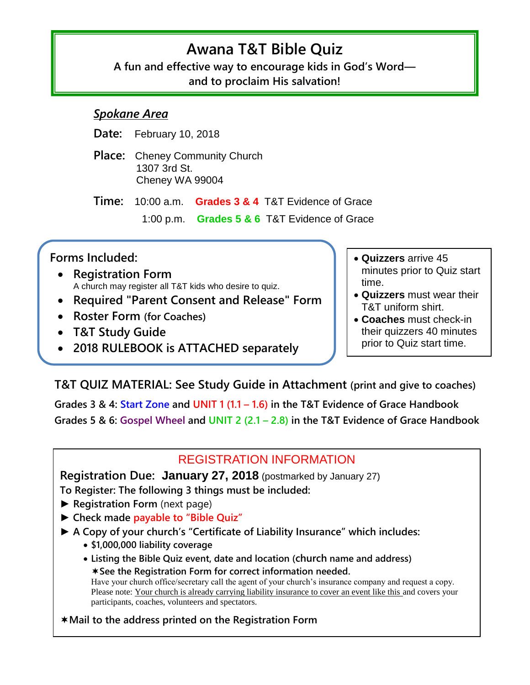# **Awana T&T Bible Quiz**

**A fun and effective way to encourage kids in God's Word and to proclaim His salvation!**

## *Spokane Area*

**Date:** February 10, 2018

**Place:** Cheney Community Church 1307 3rd St. Cheney WA 99004

**Time:** 10:00 a.m. **Grades 3 & 4** T&T Evidence of Grace

1:00 p.m. **Grades 5 & 6** T&T Evidence of Grace

# **Forms Included:**

 $\overline{1}$ 

- **Registration Form** A church may register all T&T kids who desire to quiz.
- **Required "Parent Consent and Release" Form**
- **Roster Form (for Coaches)**
- **T&T Study Guide**
- **2018 RULEBOOK is ATTACHED separately**
- **Quizzers** arrive 45 minutes prior to Quiz start time.
- **Quizzers** must wear their T&T uniform shirt.
- **Coaches** must check-in their quizzers 40 minutes prior to Quiz start time.

**T&T QUIZ MATERIAL: See Study Guide in Attachment (print and give to coaches)**

**Grades 3 & 4: Start Zone and UNIT 1 (1.1 – 1.6) in the T&T Evidence of Grace Handbook Grades 5 & 6: Gospel Wheel and UNIT 2 (2.1 – 2.8) in the T&T Evidence of Grace Handbook**

# REGISTRATION INFORMATION

**Registration Due: January 27, 2018** (postmarked by January 27) **To Register: The following 3 things must be included:**

- ► **Registration Form** (next page)
- ► **Check made payable to "Bible Quiz"**
- ► **A Copy of your church's "Certificate of Liability Insurance" which includes:**
	- **\$1,000,000 liability coverage**
	- **Listing the Bible Quiz event, date and location (church name and address) See the Registration Form for correct information needed.**  Have your church office/secretary call the agent of your church's insurance company and request a copy. Please note: Your church is already carrying liability insurance to cover an event like this and covers your participants, co[aches,](https://www.regonline.com/YakimaAwanaGames2015) volunteers and spectators.

## **Mail to the address printed on the Registration Form**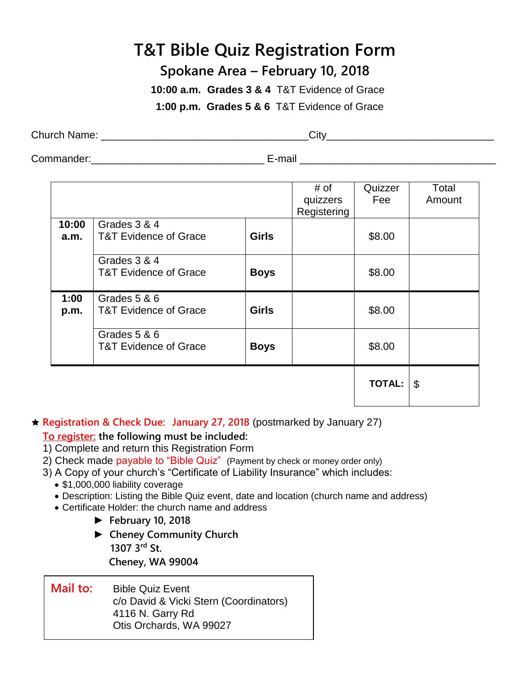# **T&T Bible Quiz Registration Form**

# **Spokane Area – February 10, 2018**

 **10:00 a.m. Grades 3 & 4** T&T Evidence of Grace

**1:00 p.m. Grades 5 & 6** T&T Evidence of Grace

| Church<br>⊦Name: | ∴it\∧ |  |
|------------------|-------|--|
|                  |       |  |

Commander:\_\_\_\_\_\_\_\_\_\_\_\_\_\_\_\_\_\_\_\_\_\_\_\_\_\_\_\_\_\_ E-mail \_\_\_\_\_\_\_\_\_\_\_\_\_\_\_\_\_\_\_\_\_\_\_\_\_\_\_\_\_\_\_\_\_\_

|               |                                                  |              | # of<br>quizzers<br>Registering | Quizzer<br>Fee | Total<br>Amount |
|---------------|--------------------------------------------------|--------------|---------------------------------|----------------|-----------------|
| 10:00<br>a.m. | Grades 3 & 4<br><b>T&amp;T Evidence of Grace</b> | <b>Girls</b> |                                 | \$8.00         |                 |
|               | Grades 3 & 4<br><b>T&amp;T Evidence of Grace</b> | <b>Boys</b>  |                                 | \$8.00         |                 |
| 1:00<br>p.m.  | Grades 5 & 6<br><b>T&amp;T Evidence of Grace</b> | <b>Girls</b> |                                 | \$8.00         |                 |
|               | Grades 5 & 6<br><b>T&amp;T Evidence of Grace</b> | <b>Boys</b>  |                                 | \$8.00         |                 |
|               |                                                  |              |                                 | <b>TOTAL:</b>  | \$              |

**Registration & Check Due: January 27, 2018** (postmarked by January 27)

## **To register: the following must be included:**

- 1) Complete and return this Registration Form
- 2) Check made payable to "Bible Quiz" (Payment by check or money order only)
- 3) A Copy of your church's "Certificate of Liability Insurance" which includes:
	- \$1,000,000 liability coverage
	- Description: Listing the Bible Quiz event, date and location (church name and address)
	- Certificate Holder: the church name and address
		- ► **February 10, 2018**
		- ► **Cheney Community Church 1307 3 rd St. Cheney, WA 99004**
	- **Mail to:** Bible Quiz Event c/o David & Vicki Stern (Coordinators) 4116 N. Garry Rd Otis Orchards, WA 99027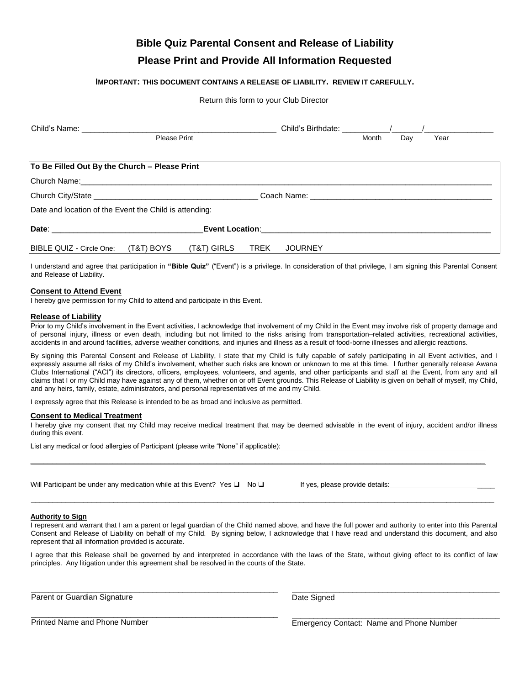# **Bible Quiz Parental Consent and Release of Liability**

### **Please Print and Provide All Information Requested**

#### **IMPORTANT: THIS DOCUMENT CONTAINS A RELEASE OF LIABILITY. REVIEW IT CAREFULLY.**

#### Return this form to your Club Director

|                                                        |              | Child's Birthdate: / |             |                |       |     |      |  |
|--------------------------------------------------------|--------------|----------------------|-------------|----------------|-------|-----|------|--|
|                                                        | Please Print |                      |             |                | Month | Day | Year |  |
|                                                        |              |                      |             |                |       |     |      |  |
| To Be Filled Out By the Church - Please Print          |              |                      |             |                |       |     |      |  |
|                                                        |              |                      |             |                |       |     |      |  |
|                                                        |              |                      |             |                |       |     |      |  |
| Date and location of the Event the Child is attending: |              |                      |             |                |       |     |      |  |
|                                                        |              |                      |             |                |       |     |      |  |
| BIBLE QUIZ - Circle One:                               | (T&T) BOYS   | (T&T) GIRLS          | <b>TREK</b> | <b>JOURNEY</b> |       |     |      |  |

I understand and agree that participation in **"Bible Quiz"** ("Event") is a privilege. In consideration of that privilege, I am signing this Parental Consent and Release of Liability.

#### **Consent to Attend Event**

I hereby give permission for my Child to attend and participate in this Event.

#### **Release of Liability**

Prior to my Child's involvement in the Event activities, I acknowledge that involvement of my Child in the Event may involve risk of property damage and of personal injury, illness or even death, including but not limited to the risks arising from transportation–related activities, recreational activities, accidents in and around facilities, adverse weather conditions, and injuries and illness as a result of food-borne illnesses and allergic reactions.

By signing this Parental Consent and Release of Liability, I state that my Child is fully capable of safely participating in all Event activities, and I expressly assume all risks of my Child's involvement, whether such risks are known or unknown to me at this time. I further generally release Awana Clubs International ("ACI") its directors, officers, employees, volunteers, and agents, and other participants and staff at the Event, from any and all claims that I or my Child may have against any of them, whether on or off Event grounds. This Release of Liability is given on behalf of myself, my Child, and any heirs, family, estate, administrators, and personal representatives of me and my Child.

I expressly agree that this Release is intended to be as broad and inclusive as permitted.

#### **Consent to Medical Treatment**

I hereby give my consent that my Child may receive medical treatment that may be deemed advisable in the event of injury, accident and/or illness during this event.

 $\_$  ,  $\_$  ,  $\_$  ,  $\_$  ,  $\_$  ,  $\_$  ,  $\_$  ,  $\_$  ,  $\_$  ,  $\_$  ,  $\_$  ,  $\_$  ,  $\_$  ,  $\_$  ,  $\_$  ,  $\_$  ,  $\_$  ,  $\_$  ,  $\_$  ,  $\_$  ,  $\_$  ,  $\_$  ,  $\_$  ,  $\_$  ,  $\_$  ,  $\_$  ,  $\_$  ,  $\_$  ,  $\_$  ,  $\_$  ,  $\_$  ,  $\_$  ,  $\_$  ,  $\_$  ,  $\_$  ,  $\_$  ,  $\_$  ,

List any medical or food allergies of Participant (please write "None" if applicable):

Will Participant be under any medication while at this Event? Yes  $\Box$  No  $\Box$  If yes, please provide details:

\_\_\_\_\_\_\_\_\_\_\_\_\_\_\_\_\_\_\_\_\_\_\_\_\_\_\_\_\_\_\_\_\_\_\_\_\_\_\_\_\_\_\_\_\_\_\_\_\_\_\_\_\_\_\_\_\_

\_\_\_\_\_\_\_\_\_\_\_\_\_\_\_\_\_\_\_\_\_\_\_\_\_\_\_\_\_\_\_\_\_\_\_\_\_\_\_\_\_\_\_\_\_\_\_\_\_\_\_\_\_\_\_\_\_

#### **Authority to Sign**

I represent and warrant that I am a parent or legal guardian of the Child named above, and have the full power and authority to enter into this Parental Consent and Release of Liability on behalf of my Child. By signing below, I acknowledge that I have read and understand this document, and also represent that all information provided is accurate.

\_\_\_\_\_\_\_\_\_\_\_\_\_\_\_\_\_\_\_\_\_\_\_\_\_\_\_\_\_\_\_\_\_\_\_\_\_\_\_\_\_\_\_\_\_\_\_\_\_\_\_\_\_\_\_\_\_\_\_\_\_\_\_\_\_\_\_\_\_\_\_\_\_\_\_\_\_\_\_\_\_\_\_\_\_\_\_\_\_\_\_\_\_\_\_\_\_\_\_\_\_\_\_\_\_\_\_

I agree that this Release shall be governed by and interpreted in accordance with the laws of the State, without giving effect to its conflict of law principles. Any litigation under this agreement shall be resolved in the courts of the State.

Parent or Guardian Signature

Date Signed

Printed Name and Phone Number

Emergency Contact: Name and Phone Number

\_\_\_\_\_\_\_\_\_\_\_\_\_\_\_\_\_\_\_\_\_\_\_\_\_\_\_\_\_\_\_\_\_\_\_\_\_\_\_\_\_\_\_\_\_\_\_\_

\_\_\_\_\_\_\_\_\_\_\_\_\_\_\_\_\_\_\_\_\_\_\_\_\_\_\_\_\_\_\_\_\_\_\_\_\_\_\_\_\_\_\_\_\_\_\_\_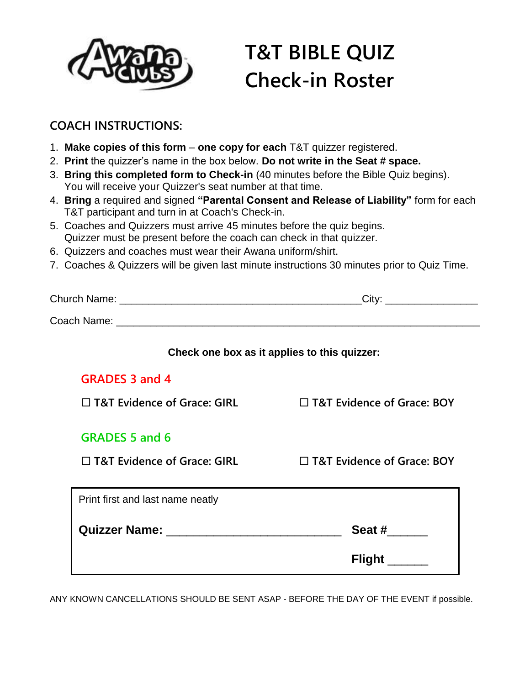

# **T&T BIBLE QUIZ Check-in Roster**

# **COACH INSTRUCTIONS:**

- 1. **Make copies of this form one copy for each** T&T quizzer registered.
- 2. **Print** the quizzer's name in the box below. **Do not write in the Seat # space.**
- 3. **Bring this completed form to Check-in** (40 minutes before the Bible Quiz begins). You will receive your Quizzer's seat number at that time.
- 4. **Bring** a required and signed **"Parental Consent and Release of Liability"** form for each T&T participant and turn in at Coach's Check-in.
- 5. Coaches and Quizzers must arrive 45 minutes before the quiz begins. Quizzer must be present before the coach can check in that quizzer.
- 6. Quizzers and coaches must wear their Awana uniform/shirt.
- 7. Coaches & Quizzers will be given last minute instructions 30 minutes prior to Quiz Time.

|                                    | Check one box as it applies to this quizzer: |
|------------------------------------|----------------------------------------------|
| <b>GRADES 3 and 4</b>              |                                              |
| $\Box$ T&T Evidence of Grace: GIRL | □ T&T Evidence of Grace: BOY                 |
| <b>GRADES 5 and 6</b>              |                                              |
| $\Box$ T&T Evidence of Grace: GIRL | $\Box$ T&T Evidence of Grace: BOY            |
| Print first and last name neatly   |                                              |
|                                    | Seat #                                       |
|                                    | Flight ______                                |

ANY KNOWN CANCELLATIONS SHOULD BE SENT ASAP - BEFORE THE DAY OF THE EVENT if possible.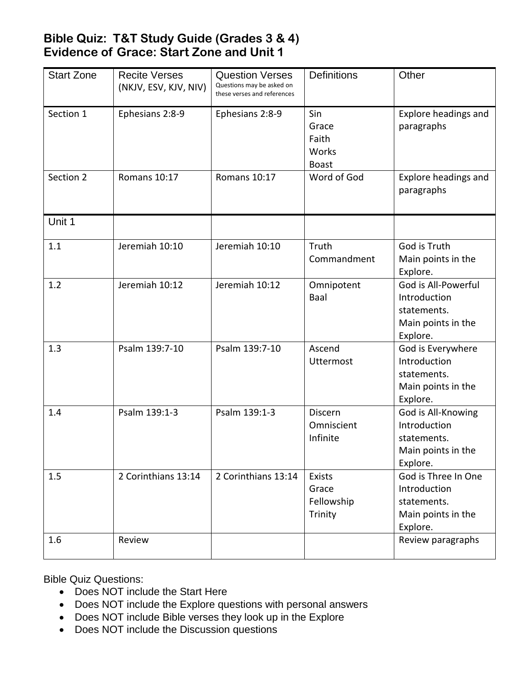# **Bible Quiz: T&T Study Guide (Grades 3 & 4) Evidence of Grace: Start Zone and Unit 1**

| <b>Start Zone</b> | <b>Recite Verses</b><br>(NKJV, ESV, KJV, NIV) | <b>Question Verses</b><br>Questions may be asked on<br>these verses and references | <b>Definitions</b>                             | Other                                                                                |
|-------------------|-----------------------------------------------|------------------------------------------------------------------------------------|------------------------------------------------|--------------------------------------------------------------------------------------|
| Section 1         | Ephesians 2:8-9                               | Ephesians 2:8-9                                                                    | Sin<br>Grace<br>Faith<br>Works<br><b>Boast</b> | Explore headings and<br>paragraphs                                                   |
| Section 2         | Romans 10:17                                  | Romans 10:17                                                                       | Word of God                                    | Explore headings and<br>paragraphs                                                   |
| Unit 1            |                                               |                                                                                    |                                                |                                                                                      |
| 1.1               | Jeremiah 10:10                                | Jeremiah 10:10                                                                     | Truth<br>Commandment                           | God is Truth<br>Main points in the<br>Explore.                                       |
| 1.2               | Jeremiah 10:12                                | Jeremiah 10:12                                                                     | Omnipotent<br>Baal                             | God is All-Powerful<br>Introduction<br>statements.<br>Main points in the<br>Explore. |
| 1.3               | Psalm 139:7-10                                | Psalm 139:7-10                                                                     | Ascend<br><b>Uttermost</b>                     | God is Everywhere<br>Introduction<br>statements.<br>Main points in the<br>Explore.   |
| 1.4               | Psalm 139:1-3                                 | Psalm 139:1-3                                                                      | <b>Discern</b><br>Omniscient<br>Infinite       | God is All-Knowing<br>Introduction<br>statements.<br>Main points in the<br>Explore.  |
| 1.5               | 2 Corinthians 13:14                           | 2 Corinthians 13:14                                                                | Exists<br>Grace<br>Fellowship<br>Trinity       | God is Three In One<br>Introduction<br>statements.<br>Main points in the<br>Explore. |
| 1.6               | Review                                        |                                                                                    |                                                | Review paragraphs                                                                    |

Bible Quiz Questions:

- Does NOT include the Start Here
- Does NOT include the Explore questions with personal answers
- Does NOT include Bible verses they look up in the Explore
- Does NOT include the Discussion questions